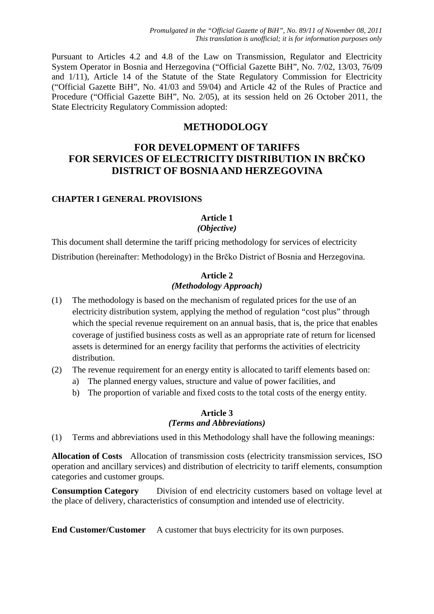Pursuant to Articles 4.2 and 4.8 of the Law on Transmission, Regulator and Electricity System Operator in Bosnia and Herzegovina ("Official Gazette BiH", No. 7/02, 13/03, 76/09 and 1/11), Article 14 of the Statute of the State Regulatory Commission for Electricity ("Official Gazette BiH", No. 41/03 and 59/04) and Article 42 of the Rules of Practice and Procedure ("Official Gazette BiH", No. 2/05), at its session held on 26 October 2011, the State Electricity Regulatory Commission adopted:

# **METHODOLOGY**

# **FOR DEVELOPMENT OF TARIFFS FOR SERVICES OF ELECTRICITY DISTRIBUTION IN BRČKO DISTRICT OF BOSNIA AND HERZEGOVINA**

#### **CHAPTER I GENERAL PROVISIONS**

#### **Article 1** *(Objective)*

This document shall determine the tariff pricing methodology for services of electricity Distribution (hereinafter: Methodology) in the Brčko District of Bosnia and Herzegovina.

#### **Article 2** *(Methodology Approach)*

- (1) The methodology is based on the mechanism of regulated prices for the use of an electricity distribution system, applying the method of regulation "cost plus" through which the special revenue requirement on an annual basis, that is, the price that enables coverage of justified business costs as well as an appropriate rate of return for licensed assets is determined for an energy facility that performs the activities of electricity distribution.
- (2) The revenue requirement for an energy entity is allocated to tariff elements based on:
	- a) The planned energy values, structure and value of power facilities, and
	- b) The proportion of variable and fixed costs to the total costs of the energy entity.

#### **Article 3** *(Terms and Abbreviations)*

(1) Terms and abbreviations used in this Methodology shall have the following meanings:

**Allocation of Costs** Allocation of transmission costs (electricity transmission services, ISO operation and ancillary services) and distribution of electricity to tariff elements, consumption categories and customer groups.

**Consumption Category** Division of end electricity customers based on voltage level at the place of delivery, characteristics of consumption and intended use of electricity.

**End Customer/Customer** A customer that buys electricity for its own purposes.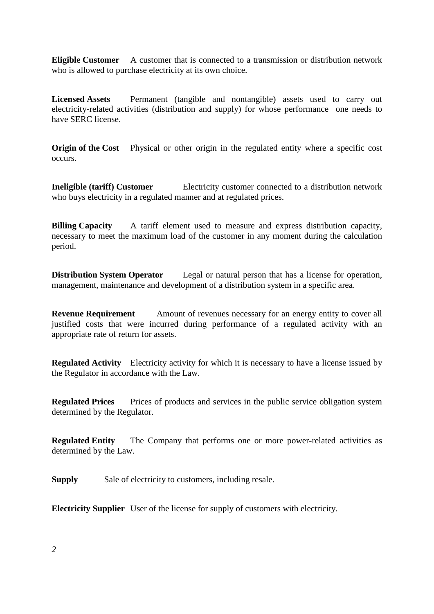**Eligible Customer** A customer that is connected to a transmission or distribution network who is allowed to purchase electricity at its own choice.

Licensed Assets Permanent (tangible and nontangible) assets used to carry out electricity-related activities (distribution and supply) for whose performance one needs to have SERC license.

**Origin of the Cost** Physical or other origin in the regulated entity where a specific cost occurs.

**Ineligible (tariff) Customer Electricity customer connected to a distribution network** who buys electricity in a regulated manner and at regulated prices.

**Billing Capacity** A tariff element used to measure and express distribution capacity, necessary to meet the maximum load of the customer in any moment during the calculation period.

**Distribution System Operator** Legal or natural person that has a license for operation, management, maintenance and development of a distribution system in a specific area.

**Revenue Requirement** Amount of revenues necessary for an energy entity to cover all justified costs that were incurred during performance of a regulated activity with an appropriate rate of return for assets.

**Regulated Activity** Electricity activity for which it is necessary to have a license issued by the Regulator in accordance with the Law.

**Regulated Prices** Prices of products and services in the public service obligation system determined by the Regulator.

**Regulated Entity** The Company that performs one or more power-related activities as determined by the Law.

**Supply** Sale of electricity to customers, including resale.

**Electricity Supplier** User of the license for supply of customers with electricity.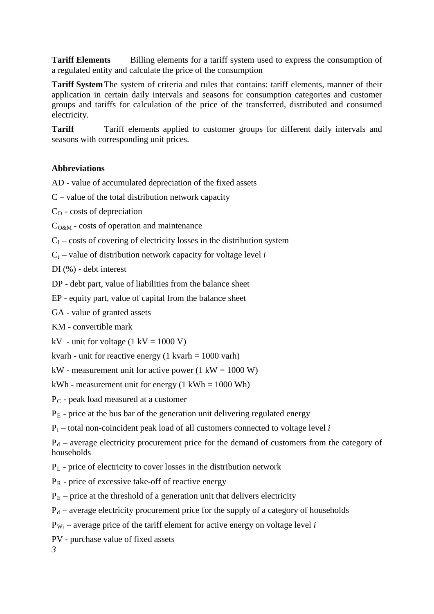**Tariff Elements** Billing elements for a tariff system used to express the consumption of a regulated entity and calculate the price of the consumption

**Tariff System**The system of criteria and rules that contains: tariff elements, manner of their application in certain daily intervals and seasons for consumption categories and customer groups and tariffs for calculation of the price of the transferred, distributed and consumed electricity.

**Tariff** Tariff elements applied to customer groups for different daily intervals and seasons with corresponding unit prices.

#### **Abbreviations**

AD - value of accumulated depreciation of the fixed assets

 $C$  – value of the total distribution network capacity

 $C_D$  - costs of depreciation

 $C<sub>O&M</sub>$  - costs of operation and maintenance

 $C_1$  – costs of covering of electricity losses in the distribution system

C i – value of distribution network capacity for voltage level *i*

DI (%) - debt interest

DP - debt part, value of liabilities from the balance sheet

EP - equity part, value of capital from the balance sheet

GA - value of granted assets

KM - convertible mark

kV - unit for voltage  $(1 \text{ kV} = 1000 \text{ V})$ 

kvarh - unit for reactive energy  $(1 \text{ kvarh} = 1000 \text{ varh})$ 

kW - measurement unit for active power  $(1 \text{ kW} = 1000 \text{ W})$ 

 $kWh$  - measurement unit for energy (1 kWh = 1000 Wh)

 $\mathrm{P_{C}}$  - peak load measured at a customer

P E - price at the bus bar of the generation unit delivering regulated energy

P i – total non-coincident peak load of all customers connected to voltage level *i*

 $P_d$  – average electricity procurement price for the demand of customers from the category of households

P L - price of electricity to cover losses in the distribution network

P R - price of excessive take-off of reactive energy

 $P<sub>E</sub>$  – price at the threshold of a generation unit that delivers electricity

 $P_d$  – average electricity procurement price for the supply of a category of households

P Wi – average price of the tariff element for active energy on voltage level *i*

PV - purchase value of fixed assets

*3*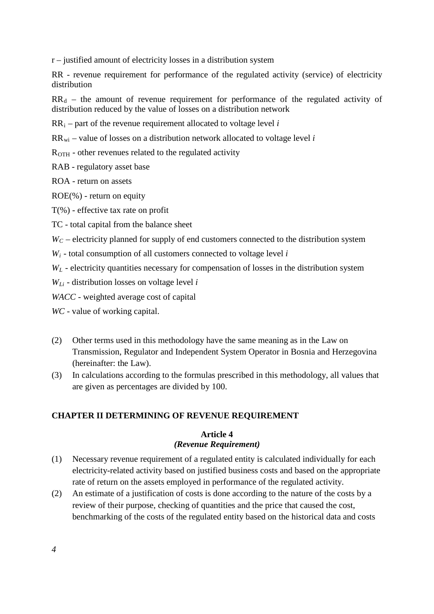r – justified amount of electricity losses in a distribution system

RR - revenue requirement for performance of the regulated activity (service) of electricity distribution

 $RR_d$  – the amount of revenue requirement for performance of the regulated activity of distribution reduced by the value of losses on a distribution network

RR i – part of the revenue requirement allocated to voltage level *i* 

RR wi – value of losses on a distribution network allocated to voltage level *i*

 $R_{\rm{OTH}}$  - other revenues related to the regulated activity

RAB - regulatory asset base

ROA - return on assets

ROE(%) - return on equity

T(%) - effective tax rate on profit

TC - total capital from the balance sheet

 $W_C$  – electricity planned for supply of end customers connected to the distribution system

 $W_i$  - total consumption of all customers connected to voltage level  $i$ 

*W L* - electricity quantities necessary for compensation of losses in the distribution system

*W Li* - distribution losses on voltage level *i*

*WACC* - weighted average cost of capital

*WC* - value of working capital.

- (2) Other terms used in this methodology have the same meaning as in the Law on Transmission, Regulator and Independent System Operator in Bosnia and Herzegovina (hereinafter: the Law).
- (3) In calculations according to the formulas prescribed in this methodology, all values that are given as percentages are divided by 100.

#### **CHAPTER II DETERMINING OF REVENUE REQUIREMENT**

#### **Article 4** *(Revenue Requirement)*

- (1) Necessary revenue requirement of a regulated entity is calculated individually for each electricity-related activity based on justified business costs and based on the appropriate rate of return on the assets employed in performance of the regulated activity.
- (2) An estimate of a justification of costs is done according to the nature of the costs by a review of their purpose, checking of quantities and the price that caused the cost, benchmarking of the costs of the regulated entity based on the historical data and costs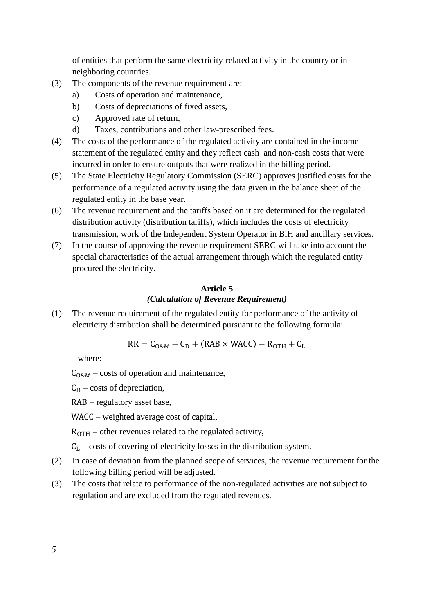of entities that perform the same electricity-related activity in the country or in neighboring countries.

- (3) The components of the revenue requirement are:
	- a) Costs of operation and maintenance,
	- b) Costs of depreciations of fixed assets,
	- c) Approved rate of return,
	- d) Taxes, contributions and other law-prescribed fees.
- (4) The costs of the performance of the regulated activity are contained in the income statement of the regulated entity and they reflect cash and non-cash costs that were incurred in order to ensure outputs that were realized in the billing period.
- (5) The State Electricity Regulatory Commission (SERC) approves justified costs for the performance of a regulated activity using the data given in the balance sheet of the regulated entity in the base year.
- (6) The revenue requirement and the tariffs based on it are determined for the regulated distribution activity (distribution tariffs), which includes the costs of electricity transmission, work of the Independent System Operator in BiH and ancillary services.
- (7) In the course of approving the revenue requirement SERC will take into account the special characteristics of the actual arrangement through which the regulated entity procured the electricity.

# **Article 5** *(Calculation of Revenue Requirement)*

(1) The revenue requirement of the regulated entity for performance of the activity of electricity distribution shall be determined pursuant to the following formula:

 $RR = C<sub>0&M</sub> + C<sub>D</sub> + (RAB × WACC) - R<sub>OTH</sub> + C<sub>L</sub>$ 

where:

 $C_{O\&M}$  – costs of operation and maintenance,

 $C_D$  – costs of depreciation,

RAB – regulatory asset base,

WACC – weighted average cost of capital,

 $R<sub>OTH</sub>$  – other revenues related to the regulated activity,

 $C_L$  – costs of covering of electricity losses in the distribution system.

- (2) In case of deviation from the planned scope of services, the revenue requirement for the following billing period will be adjusted.
- (3) The costs that relate to performance of the non-regulated activities are not subject to regulation and are excluded from the regulated revenues.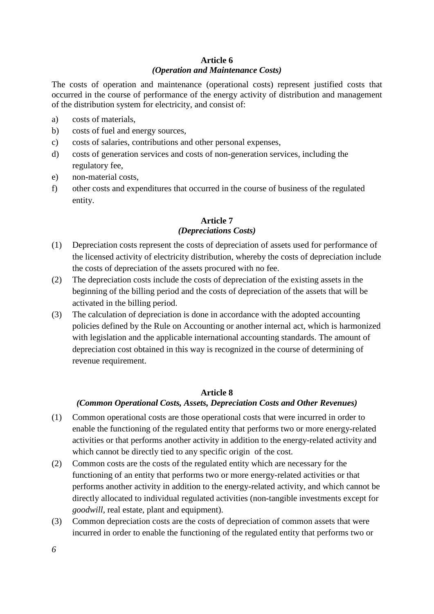### **Article 6** *(Operation and Maintenance Costs)*

The costs of operation and maintenance (operational costs) represent justified costs that occurred in the course of performance of the energy activity of distribution and management of the distribution system for electricity, and consist of:

- a) costs of materials,
- b) costs of fuel and energy sources,
- c) costs of salaries, contributions and other personal expenses,
- d) costs of generation services and costs of non-generation services, including the regulatory fee,
- e) non-material costs,
- f) other costs and expenditures that occurred in the course of business of the regulated entity.

## **Article 7** *(Depreciations Costs)*

- (1) Depreciation costs represent the costs of depreciation of assets used for performance of the licensed activity of electricity distribution, whereby the costs of depreciation include the costs of depreciation of the assets procured with no fee.
- (2) The depreciation costs include the costs of depreciation of the existing assets in the beginning of the billing period and the costs of depreciation of the assets that will be activated in the billing period.
- (3) The calculation of depreciation is done in accordance with the adopted accounting policies defined by the Rule on Accounting or another internal act, which is harmonized with legislation and the applicable international accounting standards. The amount of depreciation cost obtained in this way is recognized in the course of determining of revenue requirement.

# **Article 8**

#### *(Common Operational Costs, Assets, Depreciation Costs and Other Revenues)*

- (1) Common operational costs are those operational costs that were incurred in order to enable the functioning of the regulated entity that performs two or more energy-related activities or that performs another activity in addition to the energy-related activity and which cannot be directly tied to any specific origin of the cost.
- (2) Common costs are the costs of the regulated entity which are necessary for the functioning of an entity that performs two or more energy-related activities or that performs another activity in addition to the energy-related activity, and which cannot be directly allocated to individual regulated activities (non-tangible investments except for *goodwill*, real estate, plant and equipment).
- (3) Common depreciation costs are the costs of depreciation of common assets that were incurred in order to enable the functioning of the regulated entity that performs two or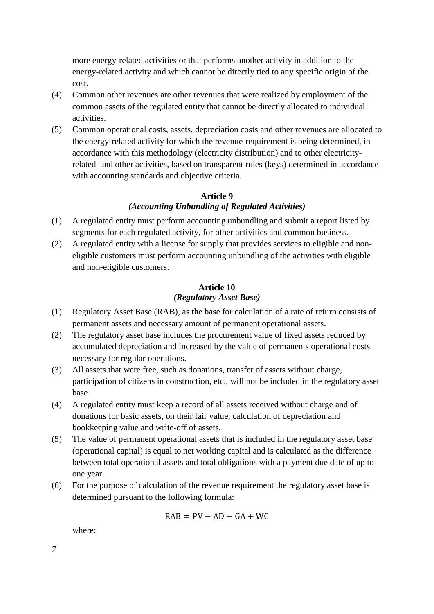more energy-related activities or that performs another activity in addition to the energy-related activity and which cannot be directly tied to any specific origin of the cost.

- (4) Common other revenues are other revenues that were realized by employment of the common assets of the regulated entity that cannot be directly allocated to individual activities.
- (5) Common operational costs, assets, depreciation costs and other revenues are allocated to the energy-related activity for which the revenue-requirement is being determined, in accordance with this methodology (electricity distribution) and to other electricityrelated and other activities, based on transparent rules (keys) determined in accordance with accounting standards and objective criteria.

### **Article 9** *(Accounting Unbundling of Regulated Activities)*

- (1) A regulated entity must perform accounting unbundling and submit a report listed by segments for each regulated activity, for other activities and common business.
- (2) A regulated entity with a license for supply that provides services to eligible and noneligible customers must perform accounting unbundling of the activities with eligible and non-eligible customers.

# **Article 10** *(Regulatory Asset Base)*

- (1) Regulatory Asset Base (RAB), as the base for calculation of a rate of return consists of permanent assets and necessary amount of permanent operational assets.
- (2) The regulatory asset base includes the procurement value of fixed assets reduced by accumulated depreciation and increased by the value of permanents operational costs necessary for regular operations.
- (3) All assets that were free, such as donations, transfer of assets without charge, participation of citizens in construction, etc., will not be included in the regulatory asset base.
- (4) A regulated entity must keep a record of all assets received without charge and of donations for basic assets, on their fair value, calculation of depreciation and bookkeeping value and write-off of assets.
- (5) The value of permanent operational assets that is included in the regulatory asset base (operational capital) is equal to net working capital and is calculated as the difference between total operational assets and total obligations with a payment due date of up to one year.
- (6) For the purpose of calculation of the revenue requirement the regulatory asset base is determined pursuant to the following formula:

$$
RAB = PV - AD - GA + WC
$$

where: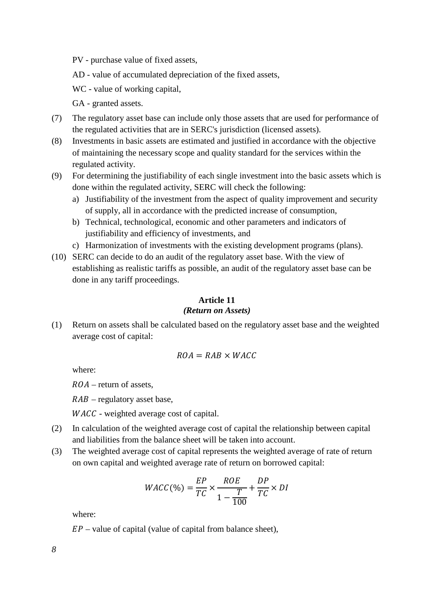PV - purchase value of fixed assets,

AD - value of accumulated depreciation of the fixed assets,

WC - value of working capital,

GA - granted assets.

- (7) The regulatory asset base can include only those assets that are used for performance of the regulated activities that are in SERC's jurisdiction (licensed assets).
- (8) Investments in basic assets are estimated and justified in accordance with the objective of maintaining the necessary scope and quality standard for the services within the regulated activity.
- (9) For determining the justifiability of each single investment into the basic assets which is done within the regulated activity, SERC will check the following:
	- a) Justifiability of the investment from the aspect of quality improvement and security of supply, all in accordance with the predicted increase of consumption,
	- b) Technical, technological, economic and other parameters and indicators of justifiability and efficiency of investments, and
	- c) Harmonization of investments with the existing development programs (plans).
- (10) SERC can decide to do an audit of the regulatory asset base. With the view of establishing as realistic tariffs as possible, an audit of the regulatory asset base can be done in any tariff proceedings.

### **Article 11**

#### *(Return on Assets)*

(1) Return on assets shall be calculated based on the regulatory asset base and the weighted average cost of capital:

$$
ROA = RAB \times WACC
$$

where:

 $ROA$  – return of assets,

 $RAB$  – regulatory asset base,

WACC - weighted average cost of capital.

- (2) In calculation of the weighted average cost of capital the relationship between capital and liabilities from the balance sheet will be taken into account.
- (3) The weighted average cost of capital represents the weighted average of rate of return on own capital and weighted average rate of return on borrowed capital:

$$
WACC(\%) = \frac{EP}{TC} \times \frac{ROE}{1 - \frac{T}{100}} + \frac{DP}{TC} \times DI
$$

where:

 $EP$  – value of capital (value of capital from balance sheet),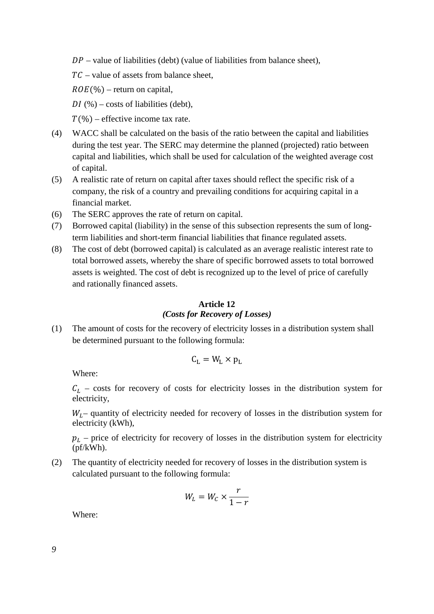$DP$  – value of liabilities (debt) (value of liabilities from balance sheet),

 $TC$  – value of assets from balance sheet,

 $ROE(\%)$  – return on capital,

DI  $(\% )$  – costs of liabilities (debt),

 $T(\%)$  – effective income tax rate.

- (4) WACC shall be calculated on the basis of the ratio between the capital and liabilities during the test year. The SERC may determine the planned (projected) ratio between capital and liabilities, which shall be used for calculation of the weighted average cost of capital.
- (5) A realistic rate of return on capital after taxes should reflect the specific risk of a company, the risk of a country and prevailing conditions for acquiring capital in a financial market.
- (6) The SERC approves the rate of return on capital.
- (7) Borrowed capital (liability) in the sense of this subsection represents the sum of longterm liabilities and short-term financial liabilities that finance regulated assets.
- (8) The cost of debt (borrowed capital) is calculated as an average realistic interest rate to total borrowed assets, whereby the share of specific borrowed assets to total borrowed assets is weighted. The cost of debt is recognized up to the level of price of carefully and rationally financed assets.

#### **Article 12** *(Costs for Recovery of Losses)*

(1) The amount of costs for the recovery of electricity losses in a distribution system shall be determined pursuant to the following formula:

$$
C_{L} = W_{L} \times p_{L}
$$

Where:

 $C_L$  – costs for recovery of costs for electricity losses in the distribution system for electricity,

 $W<sub>L</sub>$  quantity of electricity needed for recovery of losses in the distribution system for electricity (kWh),

 $p_L$  – price of electricity for recovery of losses in the distribution system for electricity (pf/kWh).

(2) The quantity of electricity needed for recovery of losses in the distribution system is calculated pursuant to the following formula:

$$
W_L = W_C \times \frac{r}{1-r}
$$

Where: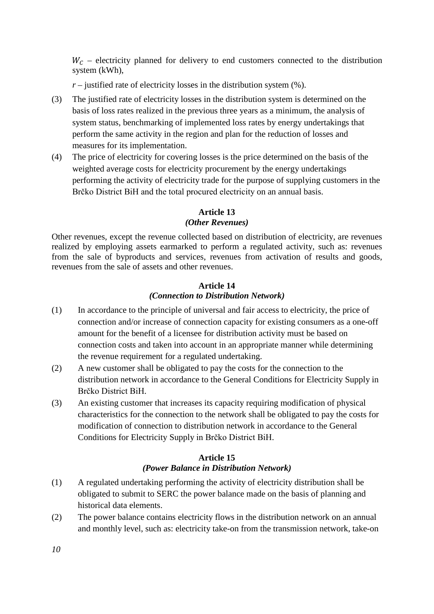$W_c$  – electricity planned for delivery to end customers connected to the distribution system (kWh),

 $r$  – justified rate of electricity losses in the distribution system  $(\% )$ .

- (3) The justified rate of electricity losses in the distribution system is determined on the basis of loss rates realized in the previous three years as a minimum, the analysis of system status, benchmarking of implemented loss rates by energy undertakings that perform the same activity in the region and plan for the reduction of losses and measures for its implementation.
- (4) The price of electricity for covering losses is the price determined on the basis of the weighted average costs for electricity procurement by the energy undertakings performing the activity of electricity trade for the purpose of supplying customers in the Brčko District BiH and the total procured electricity on an annual basis.

# **Article 13**

## *(Other Revenues)*

Other revenues, except the revenue collected based on distribution of electricity, are revenues realized by employing assets earmarked to perform a regulated activity, such as: revenues from the sale of byproducts and services, revenues from activation of results and goods, revenues from the sale of assets and other revenues.

# **Article 14** *(Connection to Distribution Network)*

- (1) In accordance to the principle of universal and fair access to electricity, the price of connection and/or increase of connection capacity for existing consumers as a one-off amount for the benefit of a licensee for distribution activity must be based on connection costs and taken into account in an appropriate manner while determining the revenue requirement for a regulated undertaking.
- (2) A new customer shall be obligated to pay the costs for the connection to the distribution network in accordance to the General Conditions for Electricity Supply in Brčko District BiH.
- (3) An existing customer that increases its capacity requiring modification of physical characteristics for the connection to the network shall be obligated to pay the costs for modification of connection to distribution network in accordance to the General Conditions for Electricity Supply in Brčko District BiH.

# **Article 15** *(Power Balance in Distribution Network)*

- (1) A regulated undertaking performing the activity of electricity distribution shall be obligated to submit to SERC the power balance made on the basis of planning and historical data elements.
- (2) The power balance contains electricity flows in the distribution network on an annual and monthly level, such as: electricity take-on from the transmission network, take-on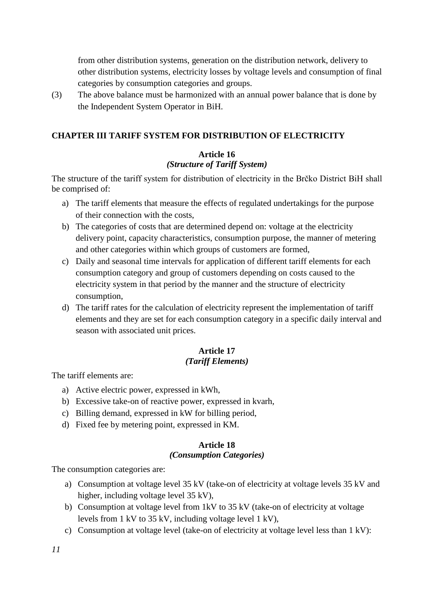from other distribution systems, generation on the distribution network, delivery to other distribution systems, electricity losses by voltage levels and consumption of final categories by consumption categories and groups.

(3) The above balance must be harmonized with an annual power balance that is done by the Independent System Operator in BiH.

# **CHAPTER III TARIFF SYSTEM FOR DISTRIBUTION OF ELECTRICITY**

### **Article 16**

#### *(Structure of Tariff System)*

The structure of the tariff system for distribution of electricity in the Brčko District BiH shall be comprised of:

- a) The tariff elements that measure the effects of regulated undertakings for the purpose of their connection with the costs,
- b) The categories of costs that are determined depend on: voltage at the electricity delivery point, capacity characteristics, consumption purpose, the manner of metering and other categories within which groups of customers are formed,
- c) Daily and seasonal time intervals for application of different tariff elements for each consumption category and group of customers depending on costs caused to the electricity system in that period by the manner and the structure of electricity consumption,
- d) The tariff rates for the calculation of electricity represent the implementation of tariff elements and they are set for each consumption category in a specific daily interval and season with associated unit prices.

# **Article 17**

#### *(Tariff Elements)*

The tariff elements are:

- a) Active electric power, expressed in kWh,
- b) Excessive take-on of reactive power, expressed in kvarh,
- c) Billing demand, expressed in kW for billing period,
- d) Fixed fee by metering point, expressed in KM.

#### **Article 18**

#### *(Consumption Categories)*

The consumption categories are:

- a) Consumption at voltage level 35 kV (take-on of electricity at voltage levels 35 kV and higher, including voltage level 35 kV),
- b) Consumption at voltage level from 1kV to 35 kV (take-on of electricity at voltage levels from 1 kV to 35 kV, including voltage level 1 kV),
- c) Consumption at voltage level (take-on of electricity at voltage level less than 1 kV):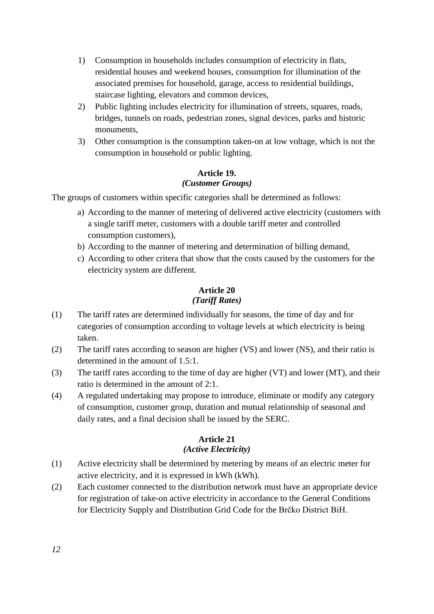- 1) Consumption in households includes consumption of electricity in flats, residential houses and weekend houses, consumption for illumination of the associated premises for household, garage, access to residential buildings, staircase lighting, elevators and common devices,
- 2) Public lighting includes electricity for illumination of streets, squares, roads, bridges, tunnels on roads, pedestrian zones, signal devices, parks and historic monuments,
- 3) Other consumption is the consumption taken-on at low voltage, which is not the consumption in household or public lighting.

## **Article 19.** *(Customer Groups)*

The groups of customers within specific categories shall be determined as follows:

- a) According to the manner of metering of delivered active electricity (customers with a single tariff meter, customers with a double tariff meter and controlled consumption customers),
- b) According to the manner of metering and determination of billing demand,
- c) According to other critera that show that the costs caused by the customers for the electricity system are different.

# **Article 20** *(Tariff Rates)*

- (1) The tariff rates are determined individually for seasons, the time of day and for categories of consumption according to voltage levels at which electricity is being taken.
- (2) The tariff rates according to season are higher (VS) and lower (NS), and their ratio is determined in the amount of 1.5:1.
- (3) The tariff rates according to the time of day are higher (VT) and lower (MT), and their ratio is determined in the amount of 2:1.
- (4) A regulated undertaking may propose to introduce, eliminate or modify any category of consumption, customer group, duration and mutual relationship of seasonal and daily rates, and a final decision shall be issued by the SERC.

# **Article 21**

# *(Active Electricity)*

- (1) Active electricity shall be determined by metering by means of an electric meter for active electricity, and it is expressed in kWh (kWh).
- (2) Each customer connected to the distribution network must have an appropriate device for registration of take-on active electricity in accordance to the General Conditions for Electricity Supply and Distribution Grid Code for the Brčko District BiH.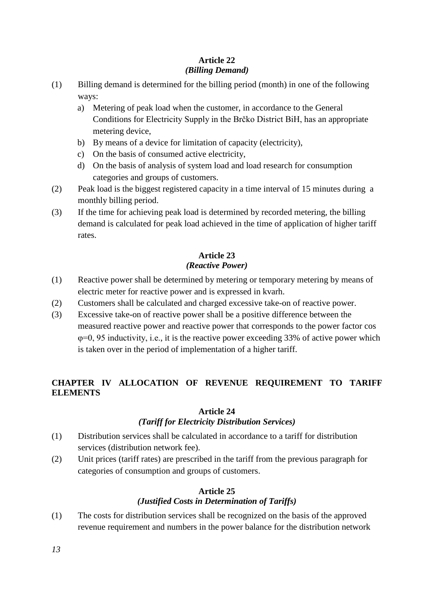### **Article 22** *(Billing Demand)*

- (1) Billing demand is determined for the billing period (month) in one of the following ways:
	- a) Metering of peak load when the customer, in accordance to the General Conditions for Electricity Supply in the Brčko District BiH, has an appropriate metering device,
	- b) By means of a device for limitation of capacity (electricity),
	- c) On the basis of consumed active electricity,
	- d) On the basis of analysis of system load and load research for consumption categories and groups of customers.
- (2) Peak load is the biggest registered capacity in a time interval of 15 minutes during a monthly billing period.
- (3) If the time for achieving peak load is determined by recorded metering, the billing demand is calculated for peak load achieved in the time of application of higher tariff rates.

# **Article 23** *(Reactive Power)*

- (1) Reactive power shall be determined by metering or temporary metering by means of electric meter for reactive power and is expressed in kvarh.
- (2) Customers shall be calculated and charged excessive take-on of reactive power.
- (3) Excessive take-on of reactive power shall be a positive difference between the measured reactive power and reactive power that corresponds to the power factor cos φ=0, 95 inductivity, i.e., it is the reactive power exceeding 33% of active power which is taken over in the period of implementation of a higher tariff.

# **CHAPTER IV ALLOCATION OF REVENUE REQUIREMENT TO TARIFF ELEMENTS**

# **Article 24**

# *(Tariff for Electricity Distribution Services)*

- (1) Distribution services shall be calculated in accordance to a tariff for distribution services (distribution network fee).
- (2) Unit prices (tariff rates) are prescribed in the tariff from the previous paragraph for categories of consumption and groups of customers.

# **Article 25**

# *(Justified Costs in Determination of Tariffs)*

(1) The costs for distribution services shall be recognized on the basis of the approved revenue requirement and numbers in the power balance for the distribution network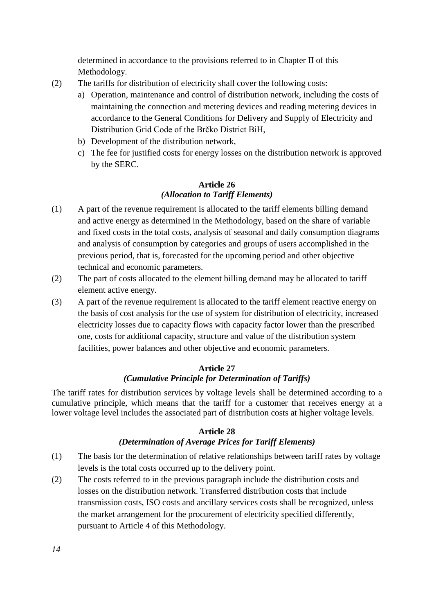determined in accordance to the provisions referred to in Chapter II of this Methodology.

- (2) The tariffs for distribution of electricity shall cover the following costs:
	- a) Operation, maintenance and control of distribution network, including the costs of maintaining the connection and metering devices and reading metering devices in accordance to the General Conditions for Delivery and Supply of Electricity and Distribution Grid Code of the Brčko District BiH,
	- b) Development of the distribution network,
	- c) The fee for justified costs for energy losses on the distribution network is approved by the SERC.

# **Article 26** *(Allocation to Tariff Elements)*

- (1) A part of the revenue requirement is allocated to the tariff elements billing demand and active energy as determined in the Methodology, based on the share of variable and fixed costs in the total costs, analysis of seasonal and daily consumption diagrams and analysis of consumption by categories and groups of users accomplished in the previous period, that is, forecasted for the upcoming period and other objective technical and economic parameters.
- (2) The part of costs allocated to the element billing demand may be allocated to tariff element active energy.
- (3) A part of the revenue requirement is allocated to the tariff element reactive energy on the basis of cost analysis for the use of system for distribution of electricity, increased electricity losses due to capacity flows with capacity factor lower than the prescribed one, costs for additional capacity, structure and value of the distribution system facilities, power balances and other objective and economic parameters.

## **Article 27** *(Cumulative Principle for Determination of Tariffs)*

The tariff rates for distribution services by voltage levels shall be determined according to a cumulative principle, which means that the tariff for a customer that receives energy at a lower voltage level includes the associated part of distribution costs at higher voltage levels.

#### **Article 28**

# *(Determination of Average Prices for Tariff Elements)*

- (1) The basis for the determination of relative relationships between tariff rates by voltage levels is the total costs occurred up to the delivery point.
- (2) The costs referred to in the previous paragraph include the distribution costs and losses on the distribution network. Transferred distribution costs that include transmission costs, ISO costs and ancillary services costs shall be recognized, unless the market arrangement for the procurement of electricity specified differently, pursuant to Article 4 of this Methodology.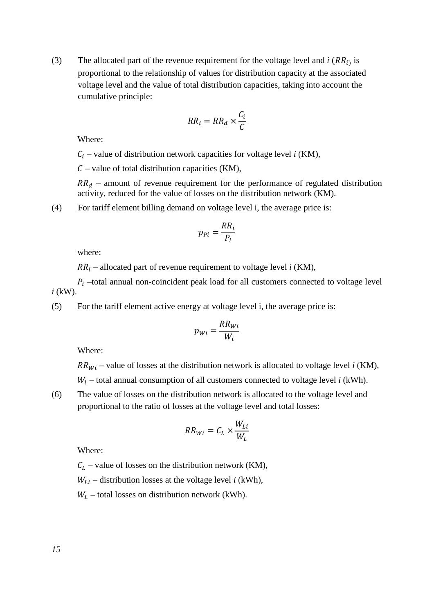(3) The allocated part of the revenue requirement for the voltage level and  $i$  ( $RR_{i}$ ) is proportional to the relationship of values for distribution capacity at the associated voltage level and the value of total distribution capacities, taking into account the cumulative principle:

$$
RR_i = RR_d \times \frac{C_i}{C}
$$

Where:

 $C_i$  – value of distribution network capacities for voltage level *i* (KM),

 $C$  – value of total distribution capacities (KM),

 $RR<sub>d</sub>$  – amount of revenue requirement for the performance of regulated distribution activity, reduced for the value of losses on the distribution network (KM).

(4) For tariff element billing demand on voltage level i, the average price is:

$$
p_{Pi} = \frac{RR_i}{P_i}
$$

where:

 $RR_i$  – allocated part of revenue requirement to voltage level *i* (KM),

 $P_i$  –total annual non-coincident peak load for all customers connected to voltage level *i* (kW).

(5) For the tariff element active energy at voltage level i, the average price is:

$$
p_{Wi} = \frac{RR_{Wi}}{W_i}
$$

Where:

 $RR_{Wi}$  – value of losses at the distribution network is allocated to voltage level *i* (KM),

 $W_i$  – total annual consumption of all customers connected to voltage level  $i$  (kWh).

(6) The value of losses on the distribution network is allocated to the voltage level and proportional to the ratio of losses at the voltage level and total losses:

$$
RR_{Wi} = C_L \times \frac{W_{Li}}{W_L}
$$

Where:

 $C_L$  – value of losses on the distribution network (KM),

 $W_{Li}$  – distribution losses at the voltage level *i* (kWh),

 $W_L$  – total losses on distribution network (kWh).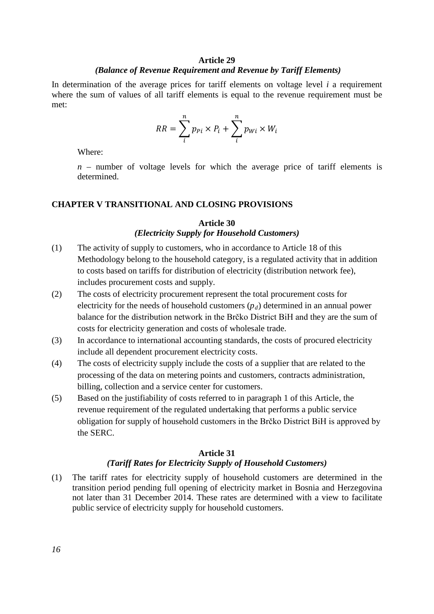#### **Article 29** *(Balance of Revenue Requirement and Revenue by Tariff Elements)*

In determination of the average prices for tariff elements on voltage level *i* a requirement where the sum of values of all tariff elements is equal to the revenue requirement must be met:

$$
RR = \sum_{i}^{n} p_{Pi} \times P_i + \sum_{i}^{n} p_{Wi} \times W_i
$$

Where:

*n* – number of voltage levels for which the average price of tariff elements is determined.

#### **CHAPTER V TRANSITIONAL AND CLOSING PROVISIONS**

#### **Article 30** *(Electricity Supply for Household Customers)*

- (1) The activity of supply to customers, who in accordance to Article 18 of this Methodology belong to the household category, is a regulated activity that in addition to costs based on tariffs for distribution of electricity (distribution network fee), includes procurement costs and supply.
- (2) The costs of electricity procurement represent the total procurement costs for electricity for the needs of household customers  $(p_d)$  determined in an annual power balance for the distribution network in the Brčko District BiH and they are the sum of costs for electricity generation and costs of wholesale trade.
- (3) In accordance to international accounting standards, the costs of procured electricity include all dependent procurement electricity costs.
- (4) The costs of electricity supply include the costs of a supplier that are related to the processing of the data on metering points and customers, contracts administration, billing, collection and a service center for customers.
- (5) Based on the justifiability of costs referred to in paragraph 1 of this Article, the revenue requirement of the regulated undertaking that performs a public service obligation for supply of household customers in the Brčko District BiH is approved by the SERC.

#### **Article 31**

#### *(Tariff Rates for Electricity Supply of Household Customers)*

(1) The tariff rates for electricity supply of household customers are determined in the transition period pending full opening of electricity market in Bosnia and Herzegovina not later than 31 December 2014. These rates are determined with a view to facilitate public service of electricity supply for household customers.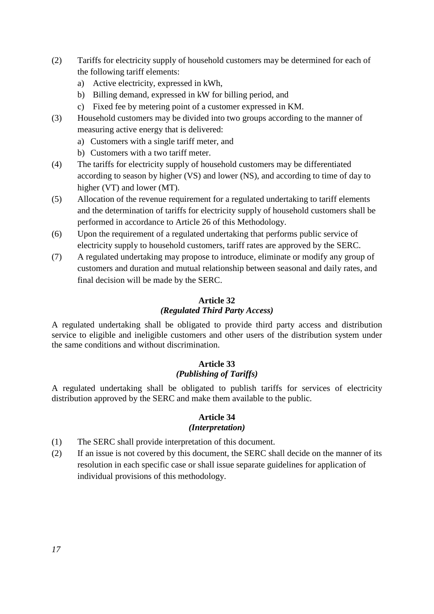- (2) Tariffs for electricity supply of household customers may be determined for each of the following tariff elements:
	- a) Active electricity, expressed in kWh,
	- b) Billing demand, expressed in kW for billing period, and
	- c) Fixed fee by metering point of a customer expressed in KM.
- (3) Household customers may be divided into two groups according to the manner of measuring active energy that is delivered:
	- a) Customers with a single tariff meter, and
	- b) Customers with a two tariff meter.
- (4) The tariffs for electricity supply of household customers may be differentiated according to season by higher (VS) and lower (NS), and according to time of day to higher (VT) and lower (MT).
- (5) Allocation of the revenue requirement for a regulated undertaking to tariff elements and the determination of tariffs for electricity supply of household customers shall be performed in accordance to Article 26 of this Methodology.
- (6) Upon the requirement of a regulated undertaking that performs public service of electricity supply to household customers, tariff rates are approved by the SERC.
- (7) A regulated undertaking may propose to introduce, eliminate or modify any group of customers and duration and mutual relationship between seasonal and daily rates, and final decision will be made by the SERC.

#### **Article 32**

# *(Regulated Third Party Access)*

A regulated undertaking shall be obligated to provide third party access and distribution service to eligible and ineligible customers and other users of the distribution system under the same conditions and without discrimination.

# **Article 33** *(Publishing of Tariffs)*

A regulated undertaking shall be obligated to publish tariffs for services of electricity distribution approved by the SERC and make them available to the public.

#### **Article 34**  *(Interpretation)*

- (1) The SERC shall provide interpretation of this document.
- (2) If an issue is not covered by this document, the SERC shall decide on the manner of its resolution in each specific case or shall issue separate guidelines for application of individual provisions of this methodology.